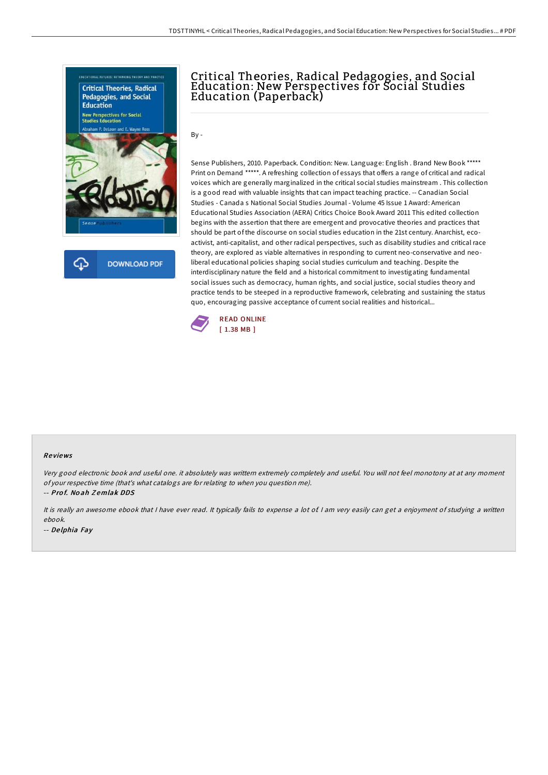



# Critical Theories, Radical Pedagogies, and Social Education: New Perspectives for Social Studies Education (Paperback)

 $By -$ 

Sense Publishers, 2010. Paperback. Condition: New. Language: English . Brand New Book \*\*\*\*\* Print on Demand \*\*\*\*\*. A refreshing collection of essays that offers a range of critical and radical voices which are generally marginalized in the critical social studies mainstream . This collection is a good read with valuable insights that can impact teaching practice. -- Canadian Social Studies - Canada s National Social Studies Journal - Volume 45 Issue 1 Award: American Educational Studies Association (AERA) Critics Choice Book Award 2011 This edited collection begins with the assertion that there are emergent and provocative theories and practices that should be part of the discourse on social studies education in the 21st century. Anarchist, ecoactivist, anti-capitalist, and other radical perspectives, such as disability studies and critical race theory, are explored as viable alternatives in responding to current neo-conservative and neoliberal educational policies shaping social studies curriculum and teaching. Despite the interdisciplinary nature the field and a historical commitment to investigating fundamental social issues such as democracy, human rights, and social justice, social studies theory and practice tends to be steeped in a reproductive framework, celebrating and sustaining the status quo, encouraging passive acceptance of current social realities and historical...



#### Re views

Very good electronic book and useful one. it absolutely was writtern extremely completely and useful. You will not feel monotony at at any moment of your respective time (that's what catalogs are for relating to when you question me).

-- Pro f. No ah Z emlak DDS

It is really an awesome ebook that I have ever read. It typically fails to expense a lot of I am very easily can get a enjoyment of studying a written ebook. -- De lphia Fay